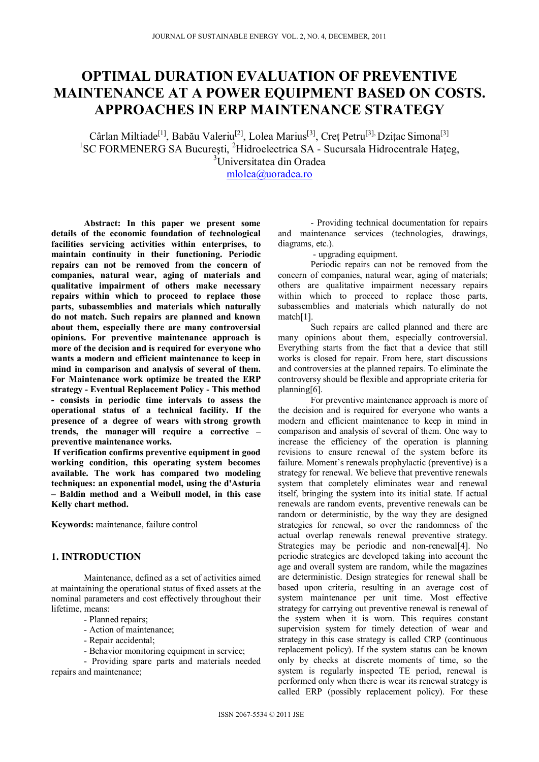# **OPTIMAL DURATION EVALUATION OF PREVENTIVE MAINTENANCE AT A POWER EQUIPMENT BASED ON COSTS. APPROACHES IN ERP MAINTENANCE STRATEGY**

Cârlan Miltiade<sup>[1]</sup>, Babău Valeriu<sup>[2]</sup>, Lolea Marius<sup>[3]</sup>, Creț Petru<sup>[3],</sup> Dzițac Simona<sup>[3]</sup><br><sup>1</sup>SC FORMENERG SA București, <sup>2</sup>Hidroelectrica SA - Sucursala Hidrocentrale Hațeg, 3 Universitatea din Oradea

mlolea@uoradea.ro

**Abstract: In this paper we present some details of the economic foundation of technological facilities servicing activities within enterprises, to maintain continuity in their functioning. Periodic repairs can not be removed from the concern of companies, natural wear, aging of materials and qualitative impairment of others make necessary repairs within which to proceed to replace those parts, subassemblies and materials which naturally do not match. Such repairs are planned and known about them, especially there are many controversial opinions. For preventive maintenance approach is more of the decision and is required for everyone who wants a modern and efficient maintenance to keep in mind in comparison and analysis of several of them. For Maintenance work optimize be treated the ERP strategy - Eventual Replacement Policy - This method - consists in periodic time intervals to assess the operational status of a technical facility. If the presence of a degree of wears with strong growth trends, the manager will require a corrective – preventive maintenance works.** 

 **If verification confirms preventive equipment in good working condition, this operating system becomes available. The work has compared two modeling techniques: an exponential model, using the d'Asturia – Baldin method and a Weibull model, in this case Kelly chart method.**

**Keywords:** maintenance, failure control

### **1. INTRODUCTION**

Maintenance, defined as a set of activities aimed at maintaining the operational status of fixed assets at the nominal parameters and cost effectively throughout their lifetime, means:

- Planned repairs;
- Action of maintenance;
- Repair accidental;
- Behavior monitoring equipment in service;

- Providing spare parts and materials needed repairs and maintenance;

- Providing technical documentation for repairs and maintenance services (technologies, drawings, diagrams, etc.).

- upgrading equipment.

Periodic repairs can not be removed from the concern of companies, natural wear, aging of materials; others are qualitative impairment necessary repairs within which to proceed to replace those parts, subassemblies and materials which naturally do not match[1].

Such repairs are called planned and there are many opinions about them, especially controversial. Everything starts from the fact that a device that still works is closed for repair. From here, start discussions and controversies at the planned repairs. To eliminate the controversy should be flexible and appropriate criteria for planning[6].

For preventive maintenance approach is more of the decision and is required for everyone who wants a modern and efficient maintenance to keep in mind in comparison and analysis of several of them. One way to increase the efficiency of the operation is planning revisions to ensure renewal of the system before its failure. Moment's renewals prophylactic (preventive) is a strategy for renewal. We believe that preventive renewals system that completely eliminates wear and renewal itself, bringing the system into its initial state. If actual renewals are random events, preventive renewals can be random or deterministic, by the way they are designed strategies for renewal, so over the randomness of the actual overlap renewals renewal preventive strategy. Strategies may be periodic and non-renewal[4]. No periodic strategies are developed taking into account the age and overall system are random, while the magazines are deterministic. Design strategies for renewal shall be based upon criteria, resulting in an average cost of system maintenance per unit time. Most effective strategy for carrying out preventive renewal is renewal of the system when it is worn. This requires constant supervision system for timely detection of wear and strategy in this case strategy is called CRP (continuous replacement policy). If the system status can be known only by checks at discrete moments of time, so the system is regularly inspected TE period, renewal is performed only when there is wear its renewal strategy is called ERP (possibly replacement policy). For these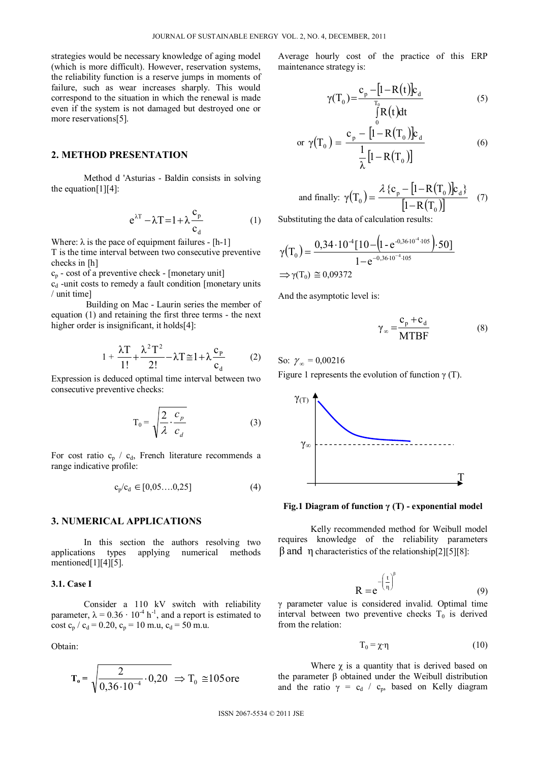strategies would be necessary knowledge of aging model (which is more difficult). However, reservation systems, the reliability function is a reserve jumps in moments of failure, such as wear increases sharply. This would correspond to the situation in which the renewal is made even if the system is not damaged but destroyed one or more reservations[5].

### **2. METHOD PRESENTATION**

Method d 'Asturias - Baldin consists in solving the equation $[1][4]$ :

$$
e^{\lambda T} - \lambda T = 1 + \lambda \frac{c_p}{c_d} \tag{1}
$$

Where:  $\lambda$  is the pace of equipment failures - [h-1]

T is the time interval between two consecutive preventive checks in [h]

 $c_p$  - cost of a preventive check - [monetary unit]

 $c_d$  -unit costs to remedy a fault condition [monetary units / unit time]

 Building on Mac - Laurin series the member of equation (1) and retaining the first three terms - the next higher order is insignificant, it holds[4]:

$$
1 + \frac{\lambda T}{1!} + \frac{\lambda^2 T^2}{2!} - \lambda T \cong 1 + \lambda \frac{c_p}{c_d} \tag{2}
$$

Expression is deduced optimal time interval between two consecutive preventive checks:

$$
T_0 = \sqrt{\frac{2}{\lambda} \cdot \frac{c_p}{c_d}}
$$
 (3)

For cost ratio  $c_p / c_d$ , French literature recommends a range indicative profile:

$$
c_p/c_d \in [0, 05, \dots, 0, 25]
$$
 (4)

### **3. NUMERICAL APPLICATIONS**

In this section the authors resolving two applications types applying numerical methods mentioned[1][4][5].

## **3.1. Case I**

Consider a 110 kV switch with reliability parameter,  $\lambda = 0.36 \cdot 10^{-4}$  h<sup>-1</sup>, and a report is estimated to cost  $c_p / c_d = 0.20$ ,  $c_p = 10$  m.u,  $c_d = 50$  m.u.

Obtain:

$$
T_o = \sqrt{\frac{2}{0.36 \cdot 10^{-4}} \cdot 0.20} \Rightarrow T_o \approx 105 \text{ ore}
$$

Average hourly cost of the practice of this ERP maintenance strategy is:

$$
\gamma(T_0) = \frac{c_p - [1 - R(t)]c_d}{\int_{0}^{T_0} R(t)dt}
$$
\n(5)

or 
$$
\gamma(T_0) = \frac{c_p - [1 - R(T_0)]c_d}{\frac{1}{\lambda}[1 - R(T_0)]}
$$
 (6)

and finally: 
$$
\gamma(T_0) = \frac{\lambda \{c_p - [1 - R(T_0)]c_d\}}{[1 - R(T_0)]}
$$
 (7)

Substituting the data of calculation results:

$$
\gamma(T_0) = \frac{0,34 \cdot 10^{-4} [10 - (1 - e^{-0,36 \cdot 10^{-4} \cdot 105}) \cdot 50]}{1 - e^{-0,36 \cdot 10^{-4} \cdot 105}}
$$
  
\n
$$
\Rightarrow \gamma(T_0) \approx 0,09372
$$

And the asymptotic level is:

$$
\gamma_{\infty} = \frac{c_{p} + c_{d}}{MTBF}
$$
 (8)

So:  $\gamma_{\infty} = 0.00216$ 

Figure 1 represents the evolution of function  $\gamma$  (T).



### **Fig.1 Diagram of function γ (T) - exponential model**

Kelly recommended method for Weibull model requires knowledge of the reliability parameters  $β$  and η characteristics of the relationship[2][5][8]:

$$
R = e^{-\left(\frac{t}{\eta}\right)^{\beta}}
$$
 (9)

γ parameter value is considered invalid. Optimal time interval between two preventive checks  $T_0$  is derived from the relation:

$$
T_0 = \chi \cdot \eta \tag{10}
$$

Where  $\chi$  is a quantity that is derived based on the parameter β obtained under the Weibull distribution and the ratio  $\gamma = c_d / c_p$ , based on Kelly diagram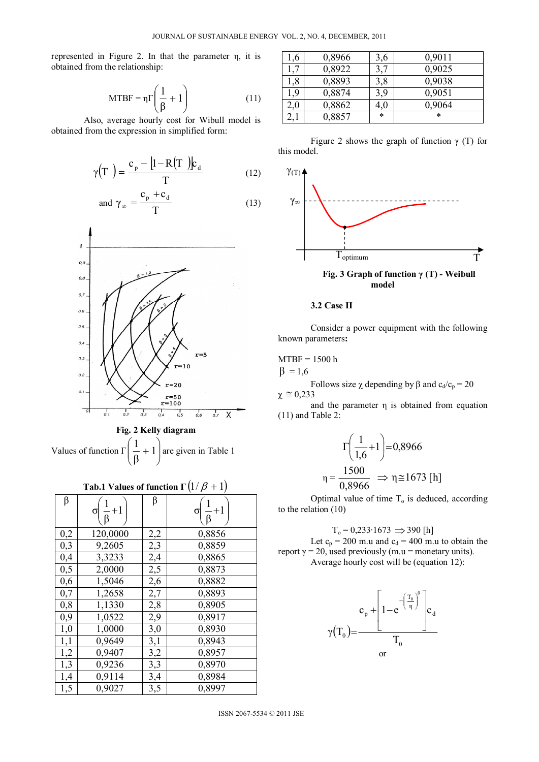represented in Figure 2. In that the parameter η, it is obtained from the relationship:

$$
MTBF = \eta \Gamma \left( \frac{1}{\beta} + 1 \right) \tag{11}
$$

Also, average hourly cost for Wibull model is obtained from the expression in simplified form:

$$
\gamma(T) = \frac{c_{p} - [1 - R(T)]c_{d}}{T}
$$
 (12)

and 
$$
\gamma_{\infty} = \frac{c_p + c_d}{T}
$$
 (13)



# **Tab.1 Values of function**  $\Gamma(1/\beta + 1)$

| β   | $\sigma\left(\frac{1}{\beta}+1\right)$ | β   | $\frac{1}{6}+1$<br>σΙ |
|-----|----------------------------------------|-----|-----------------------|
| 0,2 | 120,0000                               | 2,2 | 0,8856                |
| 0,3 | 9,2605                                 | 2,3 | 0,8859                |
| 0,4 | 3,3233                                 | 2,4 | 0,8865                |
| 0,5 | 2,0000                                 | 2,5 | 0,8873                |
| 0,6 | 1,5046                                 | 2,6 | 0,8882                |
| 0,7 | 1,2658                                 | 2,7 | 0,8893                |
| 0,8 | 1,1330                                 | 2,8 | 0,8905                |
| 0,9 | 1,0522                                 | 2,9 | 0,8917                |
| 1,0 | 1,0000                                 | 3,0 | 0,8930                |
| 1,1 | 0,9649                                 | 3,1 | 0,8943                |
| 1,2 | 0,9407                                 | 3,2 | 0,8957                |
| 1,3 | 0,9236                                 | 3,3 | 0,8970                |
| 1,4 | 0,9114                                 | 3,4 | 0,8984                |
| 1,5 | 0,9027                                 | 3,5 | 0,8997                |

| ,6  | 0,8966 | 3,6 | 0,9011 |
|-----|--------|-----|--------|
|     | 0,8922 |     | 0,9025 |
| l,8 | 0,8893 | 3,8 | 0,9038 |
| 9,  | 0,8874 | 3,9 | 0,9051 |
| 2,0 | 0,8862 | 4.U | 0,9064 |
|     | 0,8857 | *   | *      |
|     |        |     |        |

Figure 2 shows the graph of function  $\gamma$  (T) for this model.



**model** 

### **3.2 Case II**

Consider a power equipment with the following known parameters**:** 

### MTBF = 1500 h

 $β = 1,6$ 

Follows size  $\chi$  depending by β and c<sub>d</sub>/c<sub>p</sub> = 20  $\chi \approx 0,233$ 

and the parameter η is obtained from equation (11) and Table 2:

$$
\Gamma\left(\frac{1}{1,6}+1\right) = 0,8966
$$
\n
$$
\eta = \frac{1500}{0,8966} \implies \eta \approx 1673 \text{ [h]}
$$

Optimal value of time  $T<sub>o</sub>$  is deduced, according to the relation (10)

 $T_0$  = 0,233⋅1673  $\implies$  390 [h] Let  $c_p = 200$  m.u and  $c_d = 400$  m.u to obtain the report  $\gamma = 20$ , used previously (m.u = monetary units). Average hourly cost will be (equation 12):